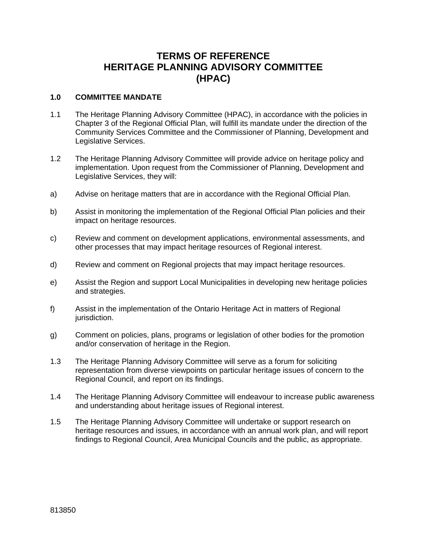# **TERMS OF REFERENCE HERITAGE PLANNING ADVISORY COMMITTEE (HPAC)**

## **1.0 COMMITTEE MANDATE**

- 1.1 The Heritage Planning Advisory Committee (HPAC), in accordance with the policies in Chapter 3 of the Regional Official Plan, will fulfill its mandate under the direction of the Community Services Committee and the Commissioner of Planning, Development and Legislative Services.
- 1.2 The Heritage Planning Advisory Committee will provide advice on heritage policy and implementation. Upon request from the Commissioner of Planning, Development and Legislative Services, they will:
- a) Advise on heritage matters that are in accordance with the Regional Official Plan.
- b) Assist in monitoring the implementation of the Regional Official Plan policies and their impact on heritage resources.
- c) Review and comment on development applications, environmental assessments, and other processes that may impact heritage resources of Regional interest.
- d) Review and comment on Regional projects that may impact heritage resources.
- e) Assist the Region and support Local Municipalities in developing new heritage policies and strategies.
- f) Assist in the implementation of the Ontario Heritage Act in matters of Regional jurisdiction.
- g) Comment on policies, plans, programs or legislation of other bodies for the promotion and/or conservation of heritage in the Region.
- 1.3 The Heritage Planning Advisory Committee will serve as a forum for soliciting representation from diverse viewpoints on particular heritage issues of concern to the Regional Council, and report on its findings.
- 1.4 The Heritage Planning Advisory Committee will endeavour to increase public awareness and understanding about heritage issues of Regional interest.
- 1.5 The Heritage Planning Advisory Committee will undertake or support research on heritage resources and issues*,* in accordance with an annual work plan, and will report findings to Regional Council, Area Municipal Councils and the public, as appropriate.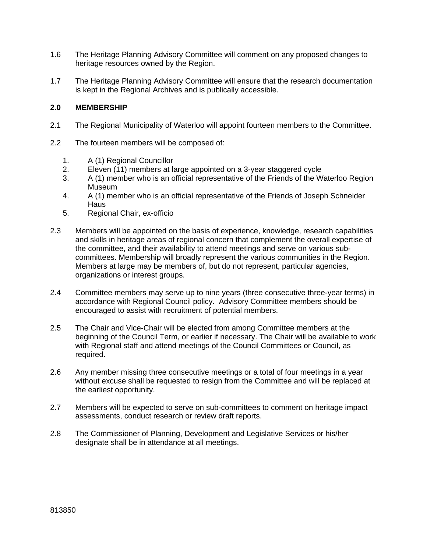- 1.6 The Heritage Planning Advisory Committee will comment on any proposed changes to heritage resources owned by the Region.
- 1.7 The Heritage Planning Advisory Committee will ensure that the research documentation is kept in the Regional Archives and is publically accessible.

## **2.0 MEMBERSHIP**

- 2.1 The Regional Municipality of Waterloo will appoint fourteen members to the Committee.
- 2.2 The fourteen members will be composed of:
	- 1. A (1) Regional Councillor
	- 2. Eleven (11) members at large appointed on a 3-year staggered cycle
	- 3. A (1) member who is an official representative of the Friends of the Waterloo Region Museum
	- 4. A (1) member who is an official representative of the Friends of Joseph Schneider **Haus**
	- 5. Regional Chair, ex-officio
- 2.3 Members will be appointed on the basis of experience, knowledge, research capabilities and skills in heritage areas of regional concern that complement the overall expertise of the committee, and their availability to attend meetings and serve on various subcommittees. Membership will broadly represent the various communities in the Region. Members at large may be members of, but do not represent, particular agencies, organizations or interest groups.
- 2.4 Committee members may serve up to nine years (three consecutive three-year terms) in accordance with Regional Council policy. Advisory Committee members should be encouraged to assist with recruitment of potential members.
- 2.5 The Chair and Vice-Chair will be elected from among Committee members at the beginning of the Council Term, or earlier if necessary. The Chair will be available to work with Regional staff and attend meetings of the Council Committees or Council, as required.
- 2.6 Any member missing three consecutive meetings or a total of four meetings in a year without excuse shall be requested to resign from the Committee and will be replaced at the earliest opportunity.
- 2.7 Members will be expected to serve on sub-committees to comment on heritage impact assessments, conduct research or review draft reports.
- 2.8 The Commissioner of Planning, Development and Legislative Services or his/her designate shall be in attendance at all meetings.